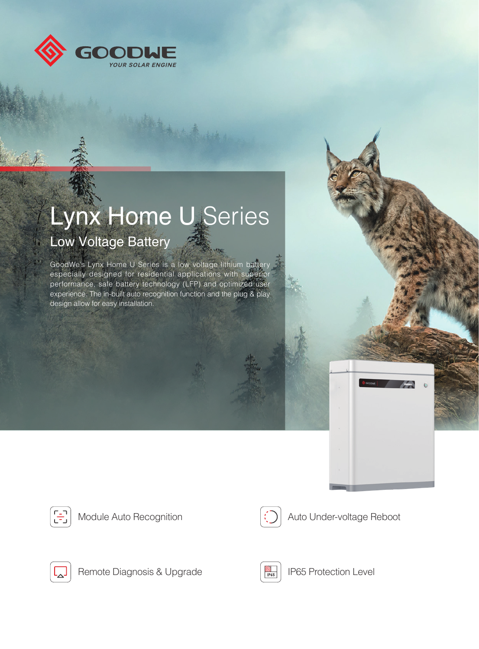

## Lynx Home U Series Low Voltage Battery

GoodWe's Lynx Home U Series is a low voltage lithium battery especially designed for residential applications with superior performance, safe battery technology (LFP) and optimized user experience. The in-built auto recognition function and the plug & play design allow for easy installation.









Remote Diagnosis & Upgrade **IP65** IP65 Protection Level